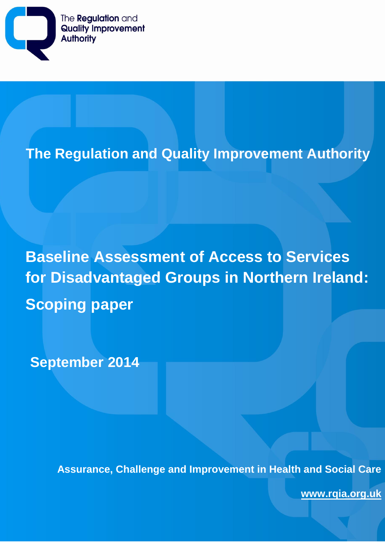

# **The Regulation and Quality Improvement Authority**

**Baseline Assessment of Access to Services for Disadvantaged Groups in Northern Ireland: Scoping paper**

**September 2014**

**Assurance, Challenge and Improvement in Health and Social Care**

**Assurance, Challenge and Improvement in Health and Social Care**

**www.rqia.org.uk**

**www.rqia.org.uk**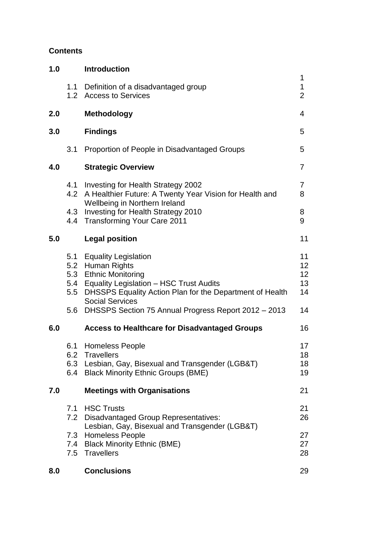## **Contents**

| 1.0 |                         | <b>Introduction</b>                                                                                                                                                                                                                                                        |                                  |
|-----|-------------------------|----------------------------------------------------------------------------------------------------------------------------------------------------------------------------------------------------------------------------------------------------------------------------|----------------------------------|
|     | 1.1<br>1.2 <sub>1</sub> | Definition of a disadvantaged group<br><b>Access to Services</b>                                                                                                                                                                                                           | 1<br>1<br>$\overline{2}$         |
| 2.0 |                         | Methodology                                                                                                                                                                                                                                                                | 4                                |
| 3.0 |                         | <b>Findings</b>                                                                                                                                                                                                                                                            | 5                                |
|     | 3.1                     | Proportion of People in Disadvantaged Groups                                                                                                                                                                                                                               | 5                                |
| 4.0 |                         | <b>Strategic Overview</b>                                                                                                                                                                                                                                                  | 7                                |
|     | 4.4                     | 4.1 Investing for Health Strategy 2002<br>4.2 A Healthier Future: A Twenty Year Vision for Health and<br>Wellbeing in Northern Ireland<br>4.3 Investing for Health Strategy 2010<br><b>Transforming Your Care 2011</b>                                                     | 7<br>8<br>8<br>9                 |
| 5.0 |                         | <b>Legal position</b>                                                                                                                                                                                                                                                      | 11                               |
|     |                         | 5.1 Equality Legislation<br>5.2 Human Rights<br>5.3 Ethnic Monitoring<br>5.4 Equality Legislation - HSC Trust Audits<br>5.5 DHSSPS Equality Action Plan for the Department of Health<br><b>Social Services</b><br>5.6 DHSSPS Section 75 Annual Progress Report 2012 - 2013 | 11<br>12<br>12<br>13<br>14<br>14 |
| 6.0 |                         | <b>Access to Healthcare for Disadvantaged Groups</b>                                                                                                                                                                                                                       | 16                               |
|     |                         | 6.1 Homeless People<br>6.2 Travellers<br>6.3 Lesbian, Gay, Bisexual and Transgender (LGB&T)<br>6.4 Black Minority Ethnic Groups (BME)                                                                                                                                      | 17<br>18<br>18<br>19             |
| 7.0 |                         | <b>Meetings with Organisations</b>                                                                                                                                                                                                                                         | 21                               |
|     | 7.1<br>7.2              | <b>HSC Trusts</b><br><b>Disadvantaged Group Representatives:</b><br>Lesbian, Gay, Bisexual and Transgender (LGB&T)                                                                                                                                                         | 21<br>26                         |
|     |                         | 7.3 Homeless People<br>7.4 Black Minority Ethnic (BME)<br>7.5 Travellers                                                                                                                                                                                                   | 27<br>27<br>28                   |
| 8.0 |                         | <b>Conclusions</b>                                                                                                                                                                                                                                                         | 29                               |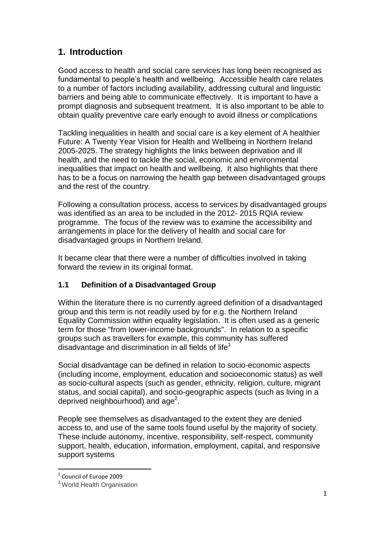# **1. Introduction**

Good access to health and social care services has long been recognised as fundamental to people's health and wellbeing. Accessible health care relates to a number of factors including availability, addressing cultural and linguistic barriers and being able to communicate effectively. It is important to have a prompt diagnosis and subsequent treatment. It is also important to be able to obtain quality preventive care early enough to avoid illness or complications

Tackling inequalities in health and social care is a key element of A healthier Future: A Twenty Year Vision for Health and Wellbeing in Northern Ireland 2005-2025. The strategy highlights the links between deprivation and ill health, and the need to tackle the social, economic and environmental inequalities that impact on health and wellbeing. It also highlights that there has to be a focus on narrowing the health gap between disadvantaged groups and the rest of the country.

Following a consultation process, access to services by disadvantaged groups was identified as an area to be included in the 2012- 2015 RQIA review programme. The focus of the review was to examine the accessibility and arrangements in place for the delivery of health and social care for disadvantaged groups in Northern Ireland.

It became clear that there were a number of difficulties involved in taking forward the review in its original format.

# **1.1 Definition of a Disadvantaged Group**

Within the literature there is no currently agreed definition of a disadvantaged group and this term is not readily used by for e.g. the Northern Ireland Equality Commission within equality legislation. It is often used as a generic term for those "from lower-income backgrounds". In relation to a specific groups such as travellers for example, this community has suffered disadvantage and discrimination in all fields of life<sup>1</sup>

Social disadvantage can be defined in relation to socio-economic aspects (including income, employment, education and socioeconomic status) as well as socio-cultural aspects (such as gender, ethnicity, religion, culture, migrant status, and social capital), and socio-geographic aspects (such as living in a deprived neighbourhood) and age<sup>2</sup>.

People see themselves as disadvantaged to the extent they are denied access to, and use of the same tools found useful by the majority of society. These include autonomy, incentive, responsibility, self-respect, community support, health, education, information, employment, capital, and responsive support systems

 $\overline{a}$ 

 $<sup>1</sup>$  Council of Europe 2009</sup>

<sup>2</sup> World Health Organisation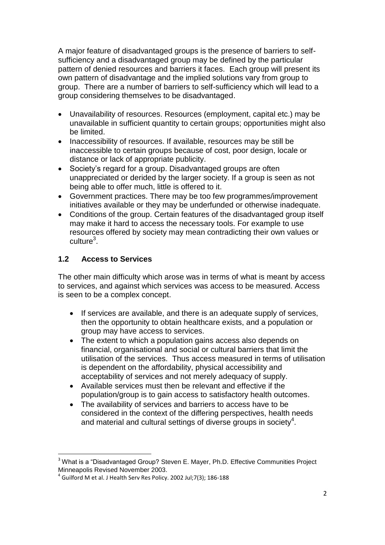A major feature of disadvantaged groups is the presence of barriers to selfsufficiency and a disadvantaged group may be defined by the particular pattern of denied resources and barriers it faces. Each group will present its own pattern of disadvantage and the implied solutions vary from group to group. There are a number of barriers to self-sufficiency which will lead to a group considering themselves to be disadvantaged.

- Unavailability of resources. Resources (employment, capital etc.) may be unavailable in sufficient quantity to certain groups; opportunities might also be limited.
- Inaccessibility of resources. If available, resources may be still be inaccessible to certain groups because of cost, poor design, locale or distance or lack of appropriate publicity.
- Society's regard for a group. Disadvantaged groups are often unappreciated or derided by the larger society. If a group is seen as not being able to offer much, little is offered to it.
- Government practices. There may be too few programmes/improvement initiatives available or they may be underfunded or otherwise inadequate.
- Conditions of the group. Certain features of the disadvantaged group itself may make it hard to access the necessary tools. For example to use resources offered by society may mean contradicting their own values or culture<sup>3</sup>.

# **1.2 Access to Services**

 $\ddot{\phantom{a}}$ 

The other main difficulty which arose was in terms of what is meant by access to services, and against which services was access to be measured. Access is seen to be a complex concept.

- If services are available, and there is an adequate supply of services, then the opportunity to obtain healthcare exists, and a population or group may have access to services.
- The extent to which a population gains access also depends on financial, organisational and social or cultural barriers that limit the utilisation of the services. Thus access measured in terms of utilisation is dependent on the affordability, physical accessibility and acceptability of services and not merely adequacy of supply.
- Available services must then be relevant and effective if the population/group is to gain access to satisfactory health outcomes.
- The availability of services and barriers to access have to be considered in the context of the differing perspectives, health needs and material and cultural settings of diverse groups in society<sup>4</sup>.

<sup>&</sup>lt;sup>3</sup> What is a "Disadvantaged Group? Steven E. Mayer, Ph.D. Effective Communities Project Minneapolis Revised November 2003.

 $^4$  Guilford M et al. J Health Serv Res Policy. 2002 Jul;7(3); 186-188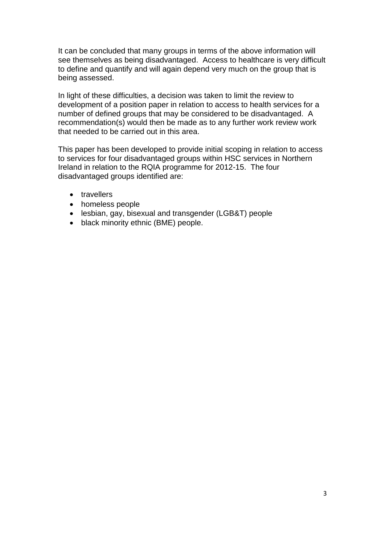It can be concluded that many groups in terms of the above information will see themselves as being disadvantaged. Access to healthcare is very difficult to define and quantify and will again depend very much on the group that is being assessed.

In light of these difficulties, a decision was taken to limit the review to development of a position paper in relation to access to health services for a number of defined groups that may be considered to be disadvantaged. A recommendation(s) would then be made as to any further work review work that needed to be carried out in this area.

This paper has been developed to provide initial scoping in relation to access to services for four disadvantaged groups within HSC services in Northern Ireland in relation to the RQIA programme for 2012-15. The four disadvantaged groups identified are:

- travellers
- homeless people
- lesbian, gay, bisexual and transgender (LGB&T) people
- black minority ethnic (BME) people.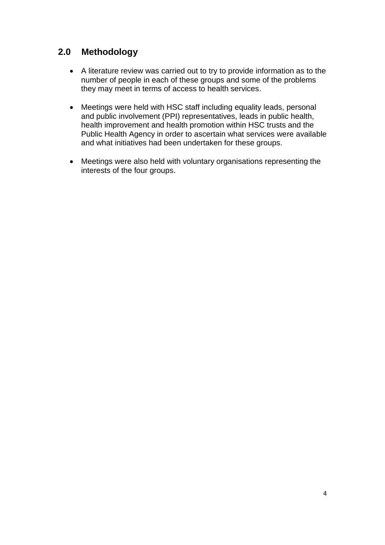# **2.0 Methodology**

- A literature review was carried out to try to provide information as to the number of people in each of these groups and some of the problems they may meet in terms of access to health services.
- Meetings were held with HSC staff including equality leads, personal and public involvement (PPI) representatives, leads in public health, health improvement and health promotion within HSC trusts and the Public Health Agency in order to ascertain what services were available and what initiatives had been undertaken for these groups.
- Meetings were also held with voluntary organisations representing the interests of the four groups.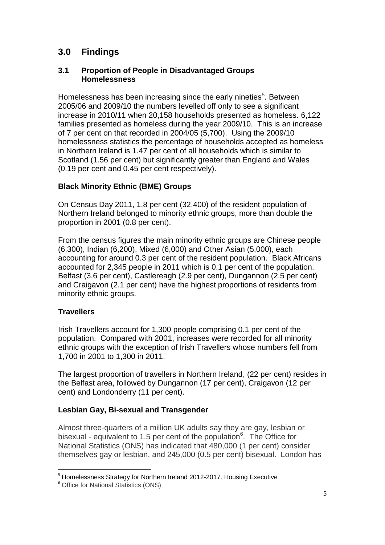# **3.0 Findings**

#### **3.1 Proportion of People in Disadvantaged Groups Homelessness**

Homelessness has been increasing since the early nineties<sup>5</sup>. Between 2005/06 and 2009/10 the numbers levelled off only to see a significant increase in 2010/11 when 20,158 households presented as homeless. 6,122 families presented as homeless during the year 2009/10. This is an increase of 7 per cent on that recorded in 2004/05 (5,700). Using the 2009/10 homelessness statistics the percentage of households accepted as homeless in Northern Ireland is 1.47 per cent of all households which is similar to Scotland (1.56 per cent) but significantly greater than England and Wales (0.19 per cent and 0.45 per cent respectively).

#### **Black Minority Ethnic (BME) Groups**

On Census Day 2011, 1.8 per cent (32,400) of the resident population of Northern Ireland belonged to minority ethnic groups, more than double the proportion in 2001 (0.8 per cent).

From the census figures the main minority ethnic groups are Chinese people (6,300), Indian (6,200), Mixed (6,000) and Other Asian (5,000), each accounting for around 0.3 per cent of the resident population. Black Africans accounted for 2,345 people in 2011 which is 0.1 per cent of the population. Belfast (3.6 per cent), Castlereagh (2.9 per cent), Dungannon (2.5 per cent) and Craigavon (2.1 per cent) have the highest proportions of residents from minority ethnic groups.

### **Travellers**

Irish Travellers account for 1,300 people comprising 0.1 per cent of the population. Compared with 2001, increases were recorded for all minority ethnic groups with the exception of Irish Travellers whose numbers fell from 1,700 in 2001 to 1,300 in 2011.

The largest proportion of travellers in Northern Ireland, (22 per cent) resides in the Belfast area, followed by Dungannon (17 per cent), Craigavon (12 per cent) and Londonderry (11 per cent).

#### **Lesbian Gay, Bi-sexual and Transgender**

Almost three-quarters of a million UK adults say they are gay, lesbian or bisexual - equivalent to 1.5 per cent of the population<sup>6</sup>. The Office for National Statistics (ONS) has indicated that 480,000 (1 per cent) consider themselves gay or lesbian, and 245,000 (0.5 per cent) bisexual. London has

 $\overline{a}$ <sup>5</sup> Homelessness Strategy for Northern Ireland 2012-2017. Housing Executive

<sup>6</sup> Office for National Statistics (ONS)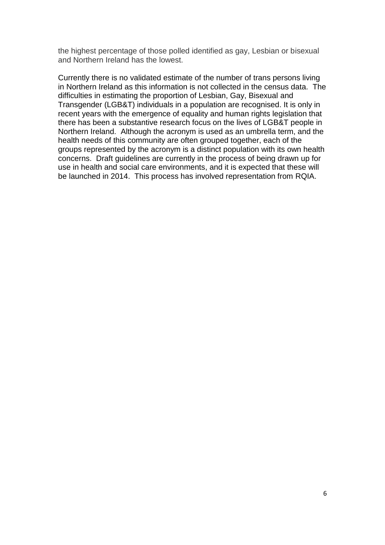the highest percentage of those polled identified as gay, Lesbian or bisexual and Northern Ireland has the lowest.

Currently there is no validated estimate of the number of trans persons living in Northern Ireland as this information is not collected in the census data. The difficulties in estimating the proportion of Lesbian, Gay, Bisexual and Transgender (LGB&T) individuals in a population are recognised. It is only in recent years with the emergence of equality and human rights legislation that there has been a substantive research focus on the lives of LGB&T people in Northern Ireland. Although the acronym is used as an umbrella term, and the health needs of this community are often grouped together, each of the groups represented by the acronym is a distinct population with its own health concerns. Draft guidelines are currently in the process of being drawn up for use in health and social care environments, and it is expected that these will be launched in 2014. This process has involved representation from RQIA.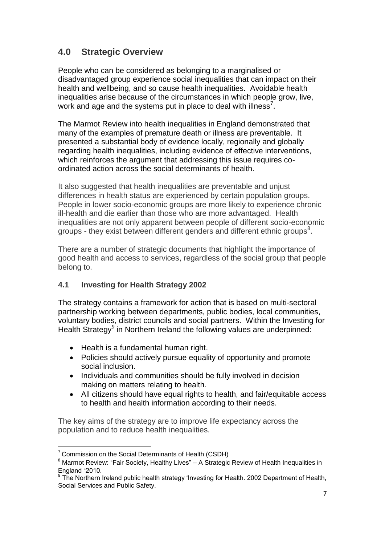# **4.0 Strategic Overview**

People who can be considered as belonging to a marginalised or disadvantaged group experience social inequalities that can impact on their health and wellbeing, and so cause health inequalities. Avoidable health inequalities arise because of the circumstances in which people grow, live, work and age and the systems put in place to deal with illness<sup>7</sup>.

The Marmot Review into health inequalities in England demonstrated that many of the examples of premature death or illness are preventable. It presented a substantial body of evidence locally, regionally and globally regarding health inequalities, including evidence of effective interventions, which reinforces the argument that addressing this issue requires coordinated action across the social determinants of health.

It also suggested that health inequalities are preventable and unjust differences in health status are experienced by certain population groups. People in lower socio-economic groups are more likely to experience chronic ill-health and die earlier than those who are more advantaged. Health inequalities are not only apparent between people of different socio-economic groups - they exist between different genders and different ethnic groups $^8$ .

There are a number of strategic documents that highlight the importance of good health and access to services, regardless of the social group that people belong to.

### **4.1 Investing for Health Strategy 2002**

The strategy contains a framework for action that is based on multi-sectoral partnership working between departments, public bodies, local communities, voluntary bodies, district councils and social partners. Within the Investing for Health Strategy<sup>9</sup> in Northern Ireland the following values are underpinned:

- Health is a fundamental human right.
- Policies should actively pursue equality of opportunity and promote social inclusion.
- Individuals and communities should be fully involved in decision making on matters relating to health.
- All citizens should have equal rights to health, and fair/equitable access to health and health information according to their needs.

The key aims of the strategy are to improve life expectancy across the population and to reduce health inequalities.

 $\overline{a}$ 

 $7$  Commission on the Social Determinants of Health (CSDH)

 $8$  Marmot Review: "Fair Society, Healthy Lives" – A Strategic Review of Health Inequalities in England "2010.

<sup>&</sup>lt;sup>9</sup> The Northern Ireland public health strategy 'Investing for Health. 2002 Department of Health, Social Services and Public Safety.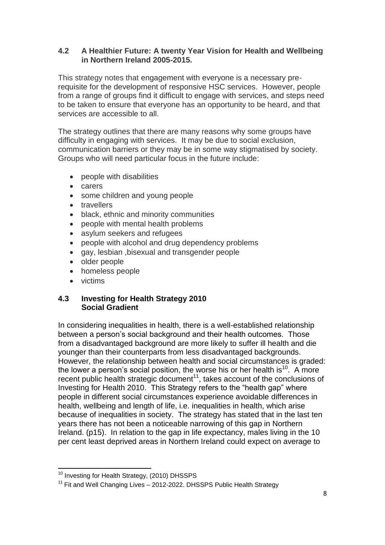#### **4.2 A Healthier Future: A twenty Year Vision for Health and Wellbeing in Northern Ireland 2005-2015.**

This strategy notes that engagement with everyone is a necessary prerequisite for the development of responsive HSC services. However, people from a range of groups find it difficult to engage with services, and steps need to be taken to ensure that everyone has an opportunity to be heard, and that services are accessible to all.

The strategy outlines that there are many reasons why some groups have difficulty in engaging with services. It may be due to social exclusion, communication barriers or they may be in some way stigmatised by society. Groups who will need particular focus in the future include:

- people with disabilities
- carers
- some children and young people
- travellers
- black, ethnic and minority communities
- people with mental health problems
- asylum seekers and refugees
- people with alcohol and drug dependency problems
- gay, lesbian ,bisexual and transgender people
- older people
- homeless people
- **•** victims

 $\overline{a}$ 

#### **4.3 Investing for Health Strategy 2010 Social Gradient**

In considering inequalities in health, there is a well-established relationship between a person's social background and their health outcomes. Those from a disadvantaged background are more likely to suffer ill health and die younger than their counterparts from less disadvantaged backgrounds. However, the relationship between health and social circumstances is graded: the lower a person's social position, the worse his or her health is<sup>10</sup>. A more recent public health strategic document<sup>11</sup>, takes account of the conclusions of Investing for Health 2010. This Strategy refers to the "health gap" where people in different social circumstances experience avoidable differences in health, wellbeing and length of life, i.e. inequalities in health, which arise because of inequalities in society. The strategy has stated that in the last ten years there has not been a noticeable narrowing of this gap in Northern Ireland. (p15). In relation to the gap in life expectancy, males living in the 10 per cent least deprived areas in Northern Ireland could expect on average to

 $10$  Investing for Health Strategy, (2010) DHSSPS

 $11$  Fit and Well Changing Lives – 2012-2022. DHSSPS Public Health Strategy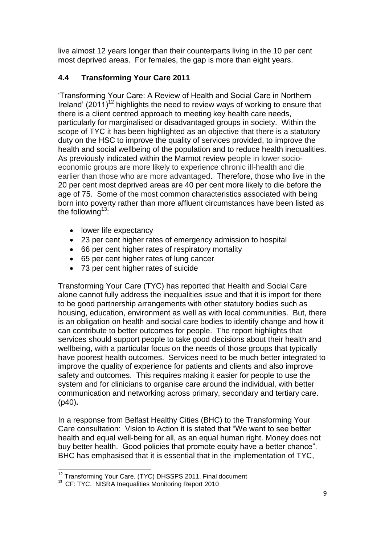live almost 12 years longer than their counterparts living in the 10 per cent most deprived areas. For females, the gap is more than eight years.

# **4.4 Transforming Your Care 2011**

'Transforming Your Care: A Review of Health and Social Care in Northern Ireland' (2011)<sup>12</sup> highlights the need to review ways of working to ensure that there is a client centred approach to meeting key health care needs, particularly for marginalised or disadvantaged groups in society. Within the scope of TYC it has been highlighted as an objective that there is a statutory duty on the HSC to improve the quality of services provided, to improve the health and social wellbeing of the population and to reduce health inequalities. As previously indicated within the Marmot review people in lower socioeconomic groups are more likely to experience chronic ill-health and die earlier than those who are more advantaged. Therefore, those who live in the 20 per cent most deprived areas are 40 per cent more likely to die before the age of 75. Some of the most common characteristics associated with being born into poverty rather than more affluent circumstances have been listed as the following $13$ :

- lower life expectancy
- 23 per cent higher rates of emergency admission to hospital
- 66 per cent higher rates of respiratory mortality
- 65 per cent higher rates of lung cancer
- 73 per cent higher rates of suicide

Transforming Your Care (TYC) has reported that Health and Social Care alone cannot fully address the inequalities issue and that it is import for there to be good partnership arrangements with other statutory bodies such as housing, education, environment as well as with local communities. But, there is an obligation on health and social care bodies to identify change and how it can contribute to better outcomes for people. The report highlights that services should support people to take good decisions about their health and wellbeing, with a particular focus on the needs of those groups that typically have poorest health outcomes. Services need to be much better integrated to improve the quality of experience for patients and clients and also improve safety and outcomes. This requires making it easier for people to use the system and for clinicians to organise care around the individual, with better communication and networking across primary, secondary and tertiary care. (p40)**.** 

In a response from Belfast Healthy Cities (BHC) to the Transforming Your Care consultation: Vision to Action it is stated that "We want to see better health and equal well-being for all, as an equal human right. Money does not buy better health. Good policies that promote equity have a better chance". BHC has emphasised that it is essential that in the implementation of TYC,

 $\overline{\phantom{a}}$ <sup>12</sup> Transforming Your Care. (TYC) DHSSPS 2011. Final document

<sup>&</sup>lt;sup>13</sup> CF: TYC. NISRA Inequalities Monitoring Report 2010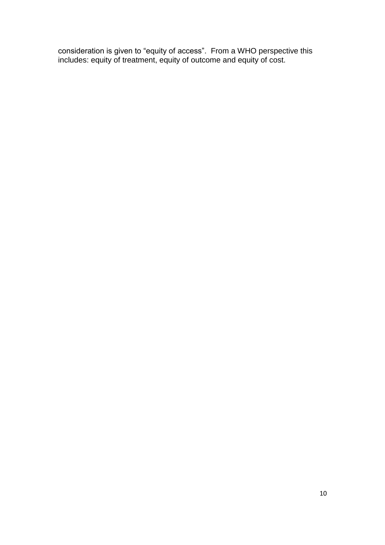consideration is given to "equity of access". From a WHO perspective this includes: equity of treatment, equity of outcome and equity of cost.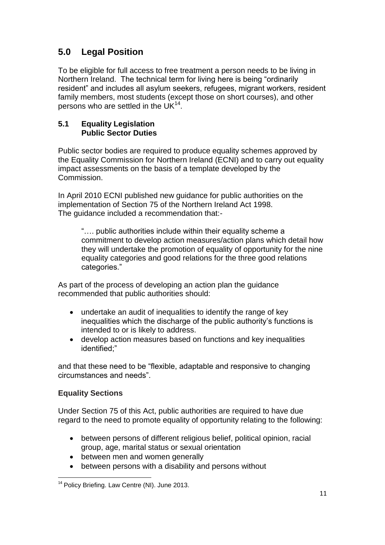# **5.0 Legal Position**

To be eligible for full access to free treatment a person needs to be living in Northern Ireland. The technical term for living here is being "ordinarily resident" and includes all asylum seekers, refugees, migrant workers, resident family members, most students (except those on short courses), and other persons who are settled in the UK $^{14}$ .

#### **5.1 Equality Legislation Public Sector Duties**

Public sector bodies are required to produce equality schemes approved by the Equality Commission for Northern Ireland (ECNI) and to carry out equality impact assessments on the basis of a template developed by the Commission.

In April 2010 ECNI published new guidance for public authorities on the implementation of Section 75 of the Northern Ireland Act 1998. The guidance included a recommendation that:-

"…. public authorities include within their equality scheme a commitment to develop action measures/action plans which detail how they will undertake the promotion of equality of opportunity for the nine equality categories and good relations for the three good relations categories."

As part of the process of developing an action plan the guidance recommended that public authorities should:

- undertake an audit of inequalities to identify the range of key inequalities which the discharge of the public authority's functions is intended to or is likely to address.
- develop action measures based on functions and key inequalities identified:"

and that these need to be "flexible, adaptable and responsive to changing circumstances and needs".

# **Equality Sections**

Under Section 75 of this Act, public authorities are required to have due regard to the need to promote equality of opportunity relating to the following:

- between persons of different religious belief, political opinion, racial group, age, marital status or sexual orientation
- between men and women generally
- between persons with a disability and persons without

 $\overline{a}$ <sup>14</sup> Policy Briefing. Law Centre (NI). June 2013.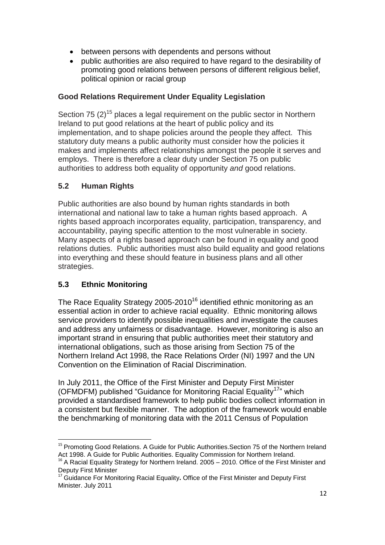- between persons with dependents and persons without
- public authorities are also required to have regard to the desirability of promoting good relations between persons of different religious belief, political opinion or racial group

# **Good Relations Requirement Under Equality Legislation**

Section 75  $(2)$ <sup>15</sup> places a legal requirement on the public sector in Northern Ireland to put good relations at the heart of public policy and its implementation, and to shape policies around the people they affect. This statutory duty means a public authority must consider how the policies it makes and implements affect relationships amongst the people it serves and employs. There is therefore a clear duty under Section 75 on public authorities to address both equality of opportunity *and* good relations.

# **5.2 Human Rights**

Public authorities are also bound by human rights standards in both international and national law to take a human rights based approach. A rights based approach incorporates equality, participation, transparency, and accountability, paying specific attention to the most vulnerable in society. Many aspects of a rights based approach can be found in equality and good relations duties. Public authorities must also build equality and good relations into everything and these should feature in business plans and all other strategies.

# **5.3 Ethnic Monitoring**

The Race Equality Strategy 2005-2010<sup>16</sup> identified ethnic monitoring as an essential action in order to achieve racial equality. Ethnic monitoring allows service providers to identify possible inequalities and investigate the causes and address any unfairness or disadvantage. However, monitoring is also an important strand in ensuring that public authorities meet their statutory and international obligations, such as those arising from Section 75 of the Northern Ireland Act 1998, the Race Relations Order (NI) 1997 and the UN Convention on the Elimination of Racial Discrimination.

In July 2011, the Office of the First Minister and Deputy First Minister (OFMDFM) published "Guidance for Monitoring Racial Equality<sup>17</sup>" which provided a standardised framework to help public bodies collect information in a consistent but flexible manner. The adoption of the framework would enable the benchmarking of monitoring data with the 2011 Census of Population

 $\overline{a}$ <sup>15</sup> Promoting Good Relations. A Guide for Public Authorities. Section 75 of the Northern Ireland Act 1998. A Guide for Public Authorities. Equality Commission for Northern Ireland.

 $16$  A Racial Equality Strategy for Northern Ireland. 2005 – 2010. Office of the First Minister and Deputy First Minister

<sup>&</sup>lt;sup>17</sup> Guidance For Monitoring Racial Equality. Office of the First Minister and Deputy First Minister. July 2011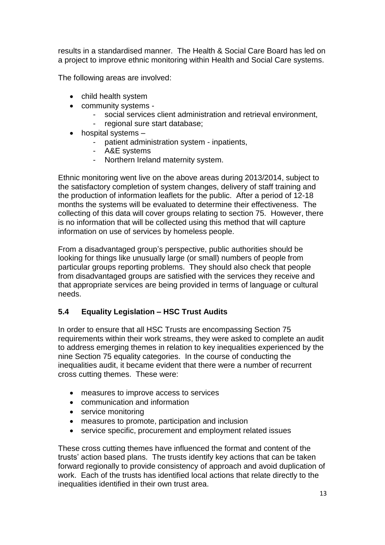results in a standardised manner. The Health & Social Care Board has led on a project to improve ethnic monitoring within Health and Social Care systems.

The following areas are involved:

- child health system
- community systems
	- social services client administration and retrieval environment,
	- regional sure start database;
- $\bullet$  hospital systems  $-$ 
	- patient administration system inpatients,
	- A&E systems
	- Northern Ireland maternity system.

Ethnic monitoring went live on the above areas during 2013/2014, subject to the satisfactory completion of system changes, delivery of staff training and the production of information leaflets for the public. After a period of 12-18 months the systems will be evaluated to determine their effectiveness. The collecting of this data will cover groups relating to section 75. However, there is no information that will be collected using this method that will capture information on use of services by homeless people.

From a disadvantaged group's perspective, public authorities should be looking for things like unusually large (or small) numbers of people from particular groups reporting problems. They should also check that people from disadvantaged groups are satisfied with the services they receive and that appropriate services are being provided in terms of language or cultural needs.

### **5.4 Equality Legislation – HSC Trust Audits**

In order to ensure that all HSC Trusts are encompassing Section 75 requirements within their work streams, they were asked to complete an audit to address emerging themes in relation to key inequalities experienced by the nine Section 75 equality categories. In the course of conducting the inequalities audit, it became evident that there were a number of recurrent cross cutting themes. These were:

- measures to improve access to services
- communication and information
- service monitoring
- measures to promote, participation and inclusion
- service specific, procurement and employment related issues

These cross cutting themes have influenced the format and content of the trusts' action based plans. The trusts identify key actions that can be taken forward regionally to provide consistency of approach and avoid duplication of work. Each of the trusts has identified local actions that relate directly to the inequalities identified in their own trust area.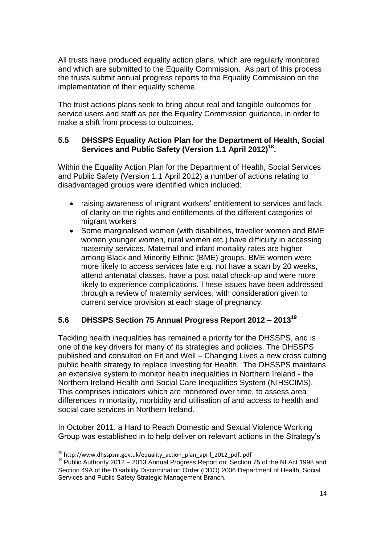All trusts have produced equality action plans, which are regularly monitored and which are submitted to the Equality Commission. As part of this process the trusts submit annual progress reports to the Equality Commission on the implementation of their equality scheme.

The trust actions plans seek to bring about real and tangible outcomes for service users and staff as per the Equality Commission guidance, in order to make a shift from process to outcomes.

#### **5.5 DHSSPS Equality Action Plan for the Department of Health, Social Services and Public Safety (Version 1.1 April 2012)<sup>18</sup> .**

Within the Equality Action Plan for the Department of Health, Social Services and Public Safety (Version 1.1 April 2012) a number of actions relating to disadvantaged groups were identified which included:

- raising awareness of migrant workers' entitlement to services and lack of clarity on the rights and entitlements of the different categories of migrant workers
- Some marginalised women (with disabilities, traveller women and BME women younger women, rural women etc.) have difficulty in accessing maternity services. Maternal and infant mortality rates are higher among Black and Minority Ethnic (BME) groups. BME women were more likely to access services late e.g. not have a scan by 20 weeks, attend antenatal classes, have a post natal check-up and were more likely to experience complications. These issues have been addressed through a review of maternity services, with consideration given to current service provision at each stage of pregnancy.

### **5.6 DHSSPS Section 75 Annual Progress Report 2012 – 2013<sup>19</sup>**

Tackling health inequalities has remained a priority for the DHSSPS, and is one of the key drivers for many of its strategies and policies. The DHSSPS published and consulted on Fit and Well – Changing Lives a new cross cutting public health strategy to replace Investing for Health. The DHSSPS maintains an extensive system to monitor health inequalities in Northern Ireland - the Northern Ireland Health and Social Care Inequalities System (NIHSCIMS). This comprises indicators which are monitored over time, to assess area differences in mortality, morbidity and utilisation of and access to health and social care services in Northern Ireland.

In October 2011, a Hard to Reach Domestic and Sexual Violence Working Group was established in to help deliver on relevant actions in the Strategy's

 $\ddot{\phantom{a}}$ 

<sup>&</sup>lt;sup>18</sup> http://www.dhsspsni.gov.uk/equality\_action\_plan\_april\_2012\_pdf..pdf

 $19$  Public Authority 2012 – 2013 Annual Progress Report on: Section 75 of the NI Act 1998 and Section 49A of the Disability Discrimination Order (DDO) 2006 Department of Health, Social Services and Public Safety Strategic Management Branch.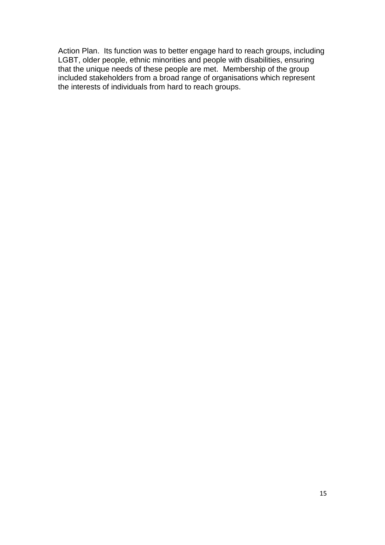Action Plan. Its function was to better engage hard to reach groups, including LGBT, older people, ethnic minorities and people with disabilities, ensuring that the unique needs of these people are met. Membership of the group included stakeholders from a broad range of organisations which represent the interests of individuals from hard to reach groups.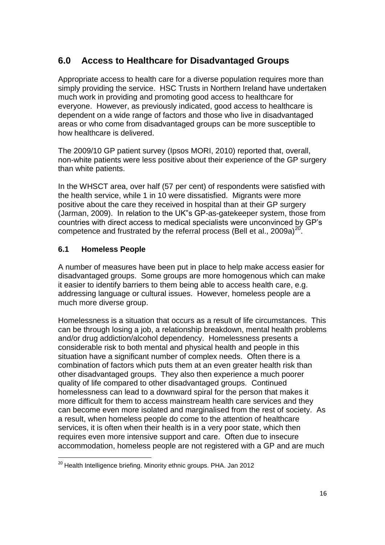# **6.0 Access to Healthcare for Disadvantaged Groups**

Appropriate access to health care for a diverse population requires more than simply providing the service. HSC Trusts in Northern Ireland have undertaken much work in providing and promoting good access to healthcare for everyone. However, as previously indicated, good access to healthcare is dependent on a wide range of factors and those who live in disadvantaged areas or who come from disadvantaged groups can be more susceptible to how healthcare is delivered.

The 2009/10 GP patient survey (Ipsos MORI, 2010) reported that, overall, non-white patients were less positive about their experience of the GP surgery than white patients.

In the WHSCT area, over half (57 per cent) of respondents were satisfied with the health service, while 1 in 10 were dissatisfied. Migrants were more positive about the care they received in hospital than at their GP surgery (Jarman, 2009). In relation to the UK"s GP-as-gatekeeper system, those from countries with direct access to medical specialists were unconvinced by GP's competence and frustrated by the referral process (Bell et al., 2009a) $^{20}$ .

### **6.1 Homeless People**

 $\overline{a}$ 

A number of measures have been put in place to help make access easier for disadvantaged groups. Some groups are more homogenous which can make it easier to identify barriers to them being able to access health care, e.g. addressing language or cultural issues. However, homeless people are a much more diverse group.

Homelessness is a situation that occurs as a result of life circumstances. This can be through losing a job, a relationship breakdown, mental health problems and/or drug addiction/alcohol dependency. Homelessness presents a considerable risk to both mental and physical health and people in this situation have a significant number of complex needs. Often there is a combination of factors which puts them at an even greater health risk than other disadvantaged groups. They also then experience a much poorer quality of life compared to other disadvantaged groups. Continued homelessness can lead to a downward spiral for the person that makes it more difficult for them to access mainstream health care services and they can become even more isolated and marginalised from the rest of society. As a result, when homeless people do come to the attention of healthcare services, it is often when their health is in a very poor state, which then requires even more intensive support and care. Often due to insecure accommodation, homeless people are not registered with a GP and are much

<sup>&</sup>lt;sup>20</sup> Health Intelligence briefing. Minority ethnic groups. PHA. Jan 2012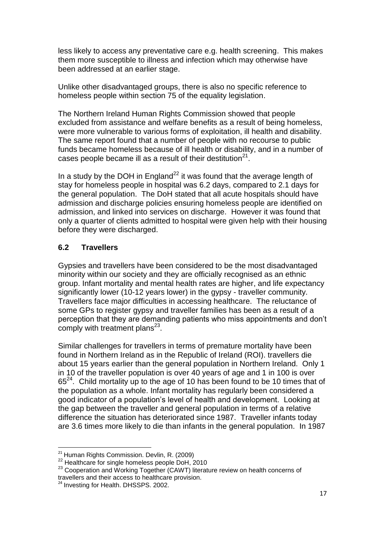less likely to access any preventative care e.g. health screening. This makes them more susceptible to illness and infection which may otherwise have been addressed at an earlier stage.

Unlike other disadvantaged groups, there is also no specific reference to homeless people within section 75 of the equality legislation.

The Northern Ireland Human Rights Commission showed that people excluded from assistance and welfare benefits as a result of being homeless, were more vulnerable to various forms of exploitation, ill health and disability. The same report found that a number of people with no recourse to public funds became homeless because of ill health or disability, and in a number of cases people became ill as a result of their destitution $21$ .

In a study by the DOH in England<sup>22</sup> it was found that the average length of stay for homeless people in hospital was 6.2 days, compared to 2.1 days for the general population. The DoH stated that all acute hospitals should have admission and discharge policies ensuring homeless people are identified on admission, and linked into services on discharge. However it was found that only a quarter of clients admitted to hospital were given help with their housing before they were discharged.

#### **6.2 Travellers**

Gypsies and travellers have been considered to be the most disadvantaged minority within our society and they are officially recognised as an ethnic group. Infant mortality and mental health rates are higher, and life expectancy significantly lower (10-12 years lower) in the gypsy - traveller community. Travellers face major difficulties in accessing healthcare. The reluctance of some GPs to register gypsy and traveller families has been as a result of a perception that they are demanding patients who miss appointments and don't comply with treatment plans $^{23}$ .

Similar challenges for travellers in terms of premature mortality have been found in Northern Ireland as in the Republic of Ireland (ROI). travellers die about 15 years earlier than the general population in Northern Ireland. Only 1 in 10 of the traveller population is over 40 years of age and 1 in 100 is over  $65<sup>24</sup>$ . Child mortality up to the age of 10 has been found to be 10 times that of the population as a whole. Infant mortality has regularly been considered a good indicator of a population's level of health and development. Looking at the gap between the traveller and general population in terms of a relative difference the situation has deteriorated since 1987. Traveller infants today are 3.6 times more likely to die than infants in the general population. In 1987

 $\overline{a}$ <sup>21</sup> Human Rights Commission. Devlin, R. (2009)

<sup>&</sup>lt;sup>22</sup> Healthcare for single homeless people DoH, 2010

<sup>&</sup>lt;sup>23</sup> Cooperation and Working Together (CAWT) literature review on health concerns of travellers and their access to healthcare provision.

<sup>&</sup>lt;sup>24</sup> Investing for Health. DHSSPS. 2002.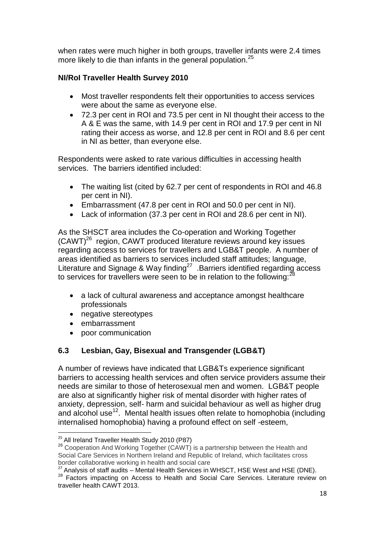when rates were much higher in both groups, traveller infants were 2.4 times more likely to die than infants in the general population.<sup>25</sup>

# **NI/RoI Traveller Health Survey 2010**

- Most traveller respondents felt their opportunities to access services were about the same as everyone else.
- 72.3 per cent in ROI and 73.5 per cent in NI thought their access to the A & E was the same, with 14.9 per cent in ROI and 17.9 per cent in NI rating their access as worse, and 12.8 per cent in ROI and 8.6 per cent in NI as better, than everyone else.

Respondents were asked to rate various difficulties in accessing health services. The barriers identified included:

- The waiting list (cited by 62.7 per cent of respondents in ROI and 46.8 per cent in NI).
- Embarrassment (47.8 per cent in ROI and 50.0 per cent in NI).
- Lack of information (37.3 per cent in ROI and 28.6 per cent in NI).

As the SHSCT area includes the Co-operation and Working Together (CAWT)<sup>26</sup> region, CAWT produced literature reviews around key issues regarding access to services for travellers and LGB&T people. A number of areas identified as barriers to services included staff attitudes; language, Literature and Signage & Way finding<sup>27</sup> .Barriers identified regarding access to services for travellers were seen to be in relation to the following:<sup>2</sup>

- a lack of cultural awareness and acceptance amongst healthcare professionals
- negative stereotypes
- embarrassment

 $\overline{a}$ 

• poor communication

# **6.3 Lesbian, Gay, Bisexual and Transgender (LGB&T)**

A number of reviews have indicated that LGB&Ts experience significant barriers to accessing health services and often service providers assume their needs are similar to those of heterosexual men and women. LGB&T people are also at significantly higher risk of mental disorder with higher rates of anxiety, depression, self- harm and suicidal behaviour as well as higher drug and alcohol use<sup>12</sup>. Mental health issues often relate to homophobia (including internalised homophobia) having a profound effect on self -esteem,

<sup>&</sup>lt;sup>25</sup> All Ireland Traveller Health Study 2010 (P87)

<sup>&</sup>lt;sup>26</sup> Cooperation And Working Together (CAWT) is a partnership between the Health and Social Care Services in Northern Ireland and Republic of Ireland, which facilitates cross border collaborative working in health and social care

 $27$  Analysis of staff audits – Mental Health Services in WHSCT, HSE West and HSE (DNE).

<sup>&</sup>lt;sup>28</sup> Factors impacting on Access to Health and Social Care Services. Literature review on traveller health CAWT 2013.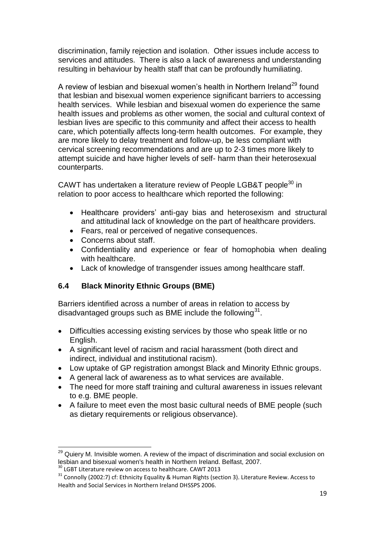discrimination, family rejection and isolation. Other issues include access to services and attitudes. There is also a lack of awareness and understanding resulting in behaviour by health staff that can be profoundly humiliating.

A review of lesbian and bisexual women's health in Northern Ireland<sup>29</sup> found that lesbian and bisexual women experience significant barriers to accessing health services. While lesbian and bisexual women do experience the same health issues and problems as other women, the social and cultural context of lesbian lives are specific to this community and affect their access to health care, which potentially affects long-term health outcomes. For example, they are more likely to delay treatment and follow-up, be less compliant with cervical screening recommendations and are up to 2-3 times more likely to attempt suicide and have higher levels of self- harm than their heterosexual counterparts.

CAWT has undertaken a literature review of People LGB&T people<sup>30</sup> in relation to poor access to healthcare which reported the following:

- Healthcare providers' anti-gay bias and heterosexism and structural and attitudinal lack of knowledge on the part of healthcare providers.
- Fears, real or perceived of negative consequences.
- Concerns about staff.
- Confidentiality and experience or fear of homophobia when dealing with healthcare.
- Lack of knowledge of transgender issues among healthcare staff.

# **6.4 Black Minority Ethnic Groups (BME)**

Barriers identified across a number of areas in relation to access by disadvantaged groups such as BME include the following $^{31}$ .

- Difficulties accessing existing services by those who speak little or no English.
- A significant level of racism and racial harassment (both direct and indirect, individual and institutional racism).
- Low uptake of GP registration amongst Black and Minority Ethnic groups.
- A general lack of awareness as to what services are available.
- The need for more staff training and cultural awareness in issues relevant to e.g. BME people.
- A failure to meet even the most basic cultural needs of BME people (such as dietary requirements or religious observance).

 $\overline{a}$ 

<sup>&</sup>lt;sup>29</sup> Quiery M. Invisible women. A review of the impact of discrimination and social exclusion on lesbian and bisexual women's health in Northern Ireland. Belfast, 2007.

<sup>&</sup>lt;sup>30</sup> LGBT Literature review on access to healthcare. CAWT 2013

<sup>&</sup>lt;sup>31</sup> Connolly (2002:7) cf: Ethnicity Equality & Human Rights (section 3). Literature Review. Access to Health and Social Services in Northern Ireland DHSSPS 2006.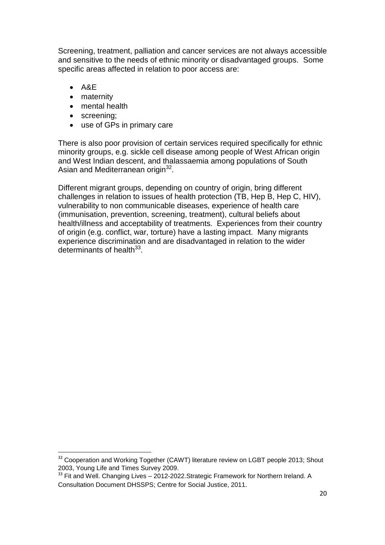Screening, treatment, palliation and cancer services are not always accessible and sensitive to the needs of ethnic minority or disadvantaged groups. Some specific areas affected in relation to poor access are:

 $-$  A&E

 $\overline{a}$ 

- maternity
- mental health
- screening;
- use of GPs in primary care

There is also poor provision of certain services required specifically for ethnic minority groups, e.g. sickle cell disease among people of West African origin and West Indian descent, and thalassaemia among populations of South Asian and Mediterranean origin<sup>32</sup>.

Different migrant groups, depending on country of origin, bring different challenges in relation to issues of health protection (TB, Hep B, Hep C, HIV), vulnerability to non communicable diseases, experience of health care (immunisation, prevention, screening, treatment), cultural beliefs about health/illness and acceptability of treatments. Experiences from their country of origin (e.g. conflict, war, torture) have a lasting impact. Many migrants experience discrimination and are disadvantaged in relation to the wider determinants of health<sup>33</sup>.

<sup>&</sup>lt;sup>32</sup> Cooperation and Working Together (CAWT) literature review on LGBT people 2013; Shout 2003, Young Life and Times Survey 2009.

<sup>&</sup>lt;sup>33</sup> Fit and Well. Changing Lives - 2012-2022. Strategic Framework for Northern Ireland. A Consultation Document DHSSPS; Centre for Social Justice, 2011.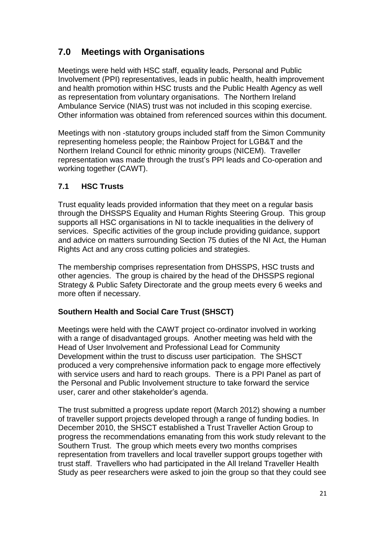# **7.0 Meetings with Organisations**

Meetings were held with HSC staff, equality leads, Personal and Public Involvement (PPI) representatives, leads in public health, health improvement and health promotion within HSC trusts and the Public Health Agency as well as representation from voluntary organisations. The Northern Ireland Ambulance Service (NIAS) trust was not included in this scoping exercise. Other information was obtained from referenced sources within this document.

Meetings with non -statutory groups included staff from the Simon Community representing homeless people; the Rainbow Project for LGB&T and the Northern Ireland Council for ethnic minority groups (NICEM). Traveller representation was made through the trust's PPI leads and Co-operation and working together (CAWT).

# **7.1 HSC Trusts**

Trust equality leads provided information that they meet on a regular basis through the DHSSPS Equality and Human Rights Steering Group. This group supports all HSC organisations in NI to tackle inequalities in the delivery of services. Specific activities of the group include providing guidance, support and advice on matters surrounding Section 75 duties of the NI Act, the Human Rights Act and any cross cutting policies and strategies.

The membership comprises representation from DHSSPS, HSC trusts and other agencies. The group is chaired by the head of the DHSSPS regional Strategy & Public Safety Directorate and the group meets every 6 weeks and more often if necessary.

### **Southern Health and Social Care Trust (SHSCT)**

Meetings were held with the CAWT project co-ordinator involved in working with a range of disadvantaged groups. Another meeting was held with the Head of User Involvement and Professional Lead for Community Development within the trust to discuss user participation. The SHSCT produced a very comprehensive information pack to engage more effectively with service users and hard to reach groups. There is a PPI Panel as part of the Personal and Public Involvement structure to take forward the service user, carer and other stakeholder's agenda.

The trust submitted a progress update report (March 2012) showing a number of traveller support projects developed through a range of funding bodies. In December 2010, the SHSCT established a Trust Traveller Action Group to progress the recommendations emanating from this work study relevant to the Southern Trust. The group which meets every two months comprises representation from travellers and local traveller support groups together with trust staff. Travellers who had participated in the All Ireland Traveller Health Study as peer researchers were asked to join the group so that they could see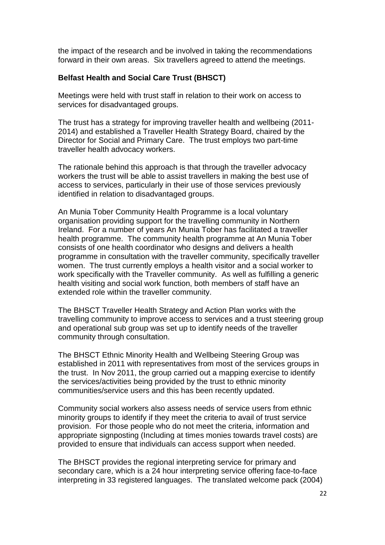the impact of the research and be involved in taking the recommendations forward in their own areas. Six travellers agreed to attend the meetings.

#### **Belfast Health and Social Care Trust (BHSCT)**

Meetings were held with trust staff in relation to their work on access to services for disadvantaged groups.

The trust has a strategy for improving traveller health and wellbeing (2011- 2014) and established a Traveller Health Strategy Board, chaired by the Director for Social and Primary Care. The trust employs two part-time traveller health advocacy workers.

The rationale behind this approach is that through the traveller advocacy workers the trust will be able to assist travellers in making the best use of access to services, particularly in their use of those services previously identified in relation to disadvantaged groups.

An Munia Tober Community Health Programme is a local voluntary organisation providing support for the travelling community in Northern Ireland. For a number of years An Munia Tober has facilitated a traveller health programme. The community health programme at An Munia Tober consists of one health coordinator who designs and delivers a health programme in consultation with the traveller community, specifically traveller women. The trust currently employs a health visitor and a social worker to work specifically with the Traveller community. As well as fulfilling a generic health visiting and social work function, both members of staff have an extended role within the traveller community.

The BHSCT Traveller Health Strategy and Action Plan works with the travelling community to improve access to services and a trust steering group and operational sub group was set up to identify needs of the traveller community through consultation.

The BHSCT Ethnic Minority Health and Wellbeing Steering Group was established in 2011 with representatives from most of the services groups in the trust. In Nov 2011, the group carried out a mapping exercise to identify the services/activities being provided by the trust to ethnic minority communities/service users and this has been recently updated.

Community social workers also assess needs of service users from ethnic minority groups to identify if they meet the criteria to avail of trust service provision. For those people who do not meet the criteria, information and appropriate signposting (Including at times monies towards travel costs) are provided to ensure that individuals can access support when needed.

The BHSCT provides the regional interpreting service for primary and secondary care, which is a 24 hour interpreting service offering face-to-face interpreting in 33 registered languages. The translated welcome pack (2004)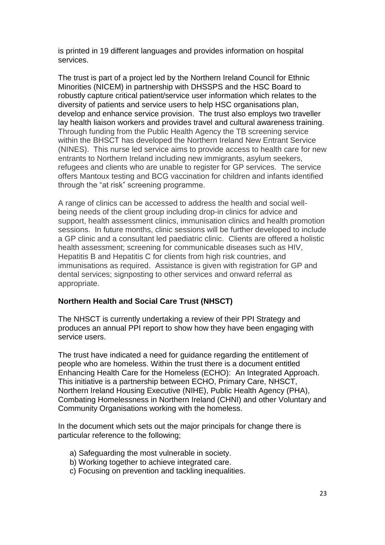is printed in 19 different languages and provides information on hospital services.

The trust is part of a project led by the Northern Ireland Council for Ethnic Minorities (NICEM) in partnership with DHSSPS and the HSC Board to robustly capture critical patient/service user information which relates to the diversity of patients and service users to help HSC organisations plan, develop and enhance service provision. The trust also employs two traveller lay health liaison workers and provides travel and cultural awareness training. Through funding from the Public Health Agency the TB screening service within the BHSCT has developed the Northern Ireland New Entrant Service (NINES). This nurse led service aims to provide access to health care for new entrants to Northern Ireland including new immigrants, asylum seekers, refugees and clients who are unable to register for GP services. The service offers Mantoux testing and BCG vaccination for children and infants identified through the "at risk" screening programme.

A range of clinics can be accessed to address the health and social wellbeing needs of the client group including drop-in clinics for advice and support, health assessment clinics, immunisation clinics and health promotion sessions. In future months, clinic sessions will be further developed to include a GP clinic and a consultant led paediatric clinic. Clients are offered a holistic health assessment; screening for communicable diseases such as HIV, Hepatitis B and Hepatitis C for clients from high risk countries, and immunisations as required. Assistance is given with registration for GP and dental services; signposting to other services and onward referral as appropriate.

#### **Northern Health and Social Care Trust (NHSCT)**

The NHSCT is currently undertaking a review of their PPI Strategy and produces an annual PPI report to show how they have been engaging with service users.

The trust have indicated a need for guidance regarding the entitlement of people who are homeless. Within the trust there is a document entitled Enhancing Health Care for the Homeless (ECHO): An Integrated Approach. This initiative is a partnership between ECHO, Primary Care, NHSCT, Northern Ireland Housing Executive (NIHE), Public Health Agency (PHA), Combating Homelessness in Northern Ireland (CHNI) and other Voluntary and Community Organisations working with the homeless.

In the document which sets out the major principals for change there is particular reference to the following;

- a) Safeguarding the most vulnerable in society.
- b) Working together to achieve integrated care.
- c) Focusing on prevention and tackling inequalities.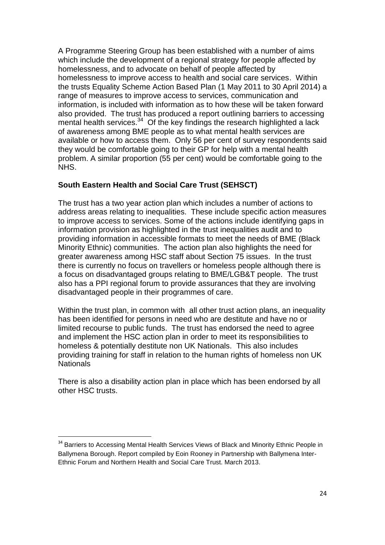A Programme Steering Group has been established with a number of aims which include the development of a regional strategy for people affected by homelessness, and to advocate on behalf of people affected by homelessness to improve access to health and social care services. Within the trusts Equality Scheme Action Based Plan (1 May 2011 to 30 April 2014) a range of measures to improve access to services, communication and information, is included with information as to how these will be taken forward also provided. The trust has produced a report outlining barriers to accessing mental health services. $34$  Of the key findings the research highlighted a lack of awareness among BME people as to what mental health services are available or how to access them. Only 56 per cent of survey respondents said they would be comfortable going to their GP for help with a mental health problem. A similar proportion (55 per cent) would be comfortable going to the NHS.

### **South Eastern Health and Social Care Trust (SEHSCT)**

The trust has a two year action plan which includes a number of actions to address areas relating to inequalities. These include specific action measures to improve access to services. Some of the actions include identifying gaps in information provision as highlighted in the trust inequalities audit and to providing information in accessible formats to meet the needs of BME (Black Minority Ethnic) communities. The action plan also highlights the need for greater awareness among HSC staff about Section 75 issues. In the trust there is currently no focus on travellers or homeless people although there is a focus on disadvantaged groups relating to BME/LGB&T people. The trust also has a PPI regional forum to provide assurances that they are involving disadvantaged people in their programmes of care.

Within the trust plan, in common with all other trust action plans, an inequality has been identified for persons in need who are destitute and have no or limited recourse to public funds. The trust has endorsed the need to agree and implement the HSC action plan in order to meet its responsibilities to homeless & potentially destitute non UK Nationals. This also includes providing training for staff in relation to the human rights of homeless non UK Nationals

There is also a disability action plan in place which has been endorsed by all other HSC trusts.

 $\ddot{\phantom{a}}$ 

<sup>&</sup>lt;sup>34</sup> Barriers to Accessing Mental Health Services Views of Black and Minority Ethnic People in Ballymena Borough. Report compiled by Eoin Rooney in Partnership with Ballymena Inter-Ethnic Forum and Northern Health and Social Care Trust. March 2013.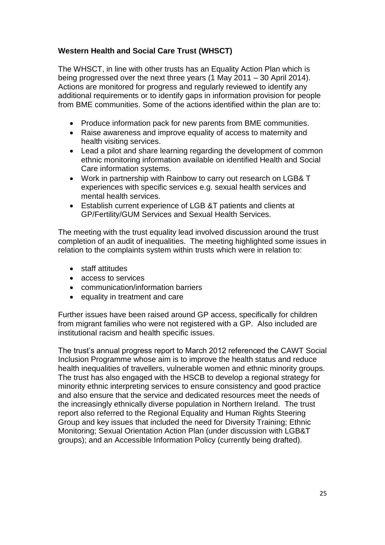# **Western Health and Social Care Trust (WHSCT)**

The WHSCT, in line with other trusts has an Equality Action Plan which is being progressed over the next three years (1 May 2011 – 30 April 2014). Actions are monitored for progress and regularly reviewed to identify any additional requirements or to identify gaps in information provision for people from BME communities. Some of the actions identified within the plan are to:

- Produce information pack for new parents from BME communities.
- Raise awareness and improve equality of access to maternity and health visiting services.
- Lead a pilot and share learning regarding the development of common ethnic monitoring information available on identified Health and Social Care information systems.
- Work in partnership with Rainbow to carry out research on LGB& T experiences with specific services e.g. sexual health services and mental health services.
- Establish current experience of LGB &T patients and clients at GP/Fertility/GUM Services and Sexual Health Services.

The meeting with the trust equality lead involved discussion around the trust completion of an audit of inequalities. The meeting highlighted some issues in relation to the complaints system within trusts which were in relation to:

- staff attitudes
- access to services
- communication/information barriers
- equality in treatment and care

Further issues have been raised around GP access, specifically for children from migrant families who were not registered with a GP. Also included are institutional racism and health specific issues.

The trust's annual progress report to March 2012 referenced the CAWT Social Inclusion Programme whose aim is to improve the health status and reduce health inequalities of travellers, vulnerable women and ethnic minority groups. The trust has also engaged with the HSCB to develop a regional strategy for minority ethnic interpreting services to ensure consistency and good practice and also ensure that the service and dedicated resources meet the needs of the increasingly ethnically diverse population in Northern Ireland. The trust report also referred to the Regional Equality and Human Rights Steering Group and key issues that included the need for Diversity Training; Ethnic Monitoring; Sexual Orientation Action Plan (under discussion with LGB&T groups); and an Accessible Information Policy (currently being drafted).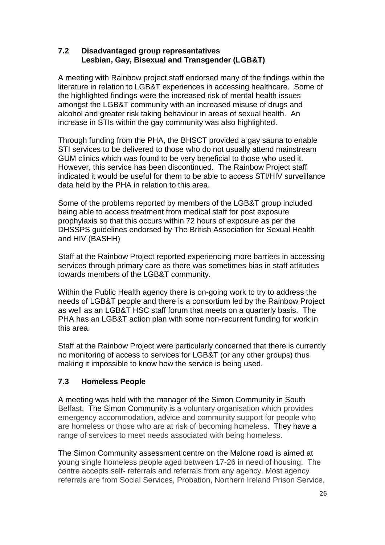#### **7.2 Disadvantaged group representatives Lesbian, Gay, Bisexual and Transgender (LGB&T)**

A meeting with Rainbow project staff endorsed many of the findings within the literature in relation to LGB&T experiences in accessing healthcare. Some of the highlighted findings were the increased risk of mental health issues amongst the LGB&T community with an increased misuse of drugs and alcohol and greater risk taking behaviour in areas of sexual health. An increase in STIs within the gay community was also highlighted.

Through funding from the PHA, the BHSCT provided a gay sauna to enable STI services to be delivered to those who do not usually attend mainstream GUM clinics which was found to be very beneficial to those who used it. However, this service has been discontinued. The Rainbow Project staff indicated it would be useful for them to be able to access STI/HIV surveillance data held by the PHA in relation to this area.

Some of the problems reported by members of the LGB&T group included being able to access treatment from medical staff for post exposure prophylaxis so that this occurs within 72 hours of exposure as per the DHSSPS guidelines endorsed by The British Association for Sexual Health and HIV (BASHH)

Staff at the Rainbow Project reported experiencing more barriers in accessing services through primary care as there was sometimes bias in staff attitudes towards members of the LGB&T community.

Within the Public Health agency there is on-going work to try to address the needs of LGB&T people and there is a consortium led by the Rainbow Project as well as an LGB&T HSC staff forum that meets on a quarterly basis. The PHA has an LGB&T action plan with some non-recurrent funding for work in this area.

Staff at the Rainbow Project were particularly concerned that there is currently no monitoring of access to services for LGB&T (or any other groups) thus making it impossible to know how the service is being used.

# **7.3 Homeless People**

A meeting was held with the manager of the Simon Community in South Belfast. The Simon Community is a voluntary organisation which provides emergency accommodation, advice and community support for people who are homeless or those who are at risk of becoming homeless. They have a range of services to meet needs associated with being homeless.

The Simon Community assessment centre on the Malone road is aimed at young single homeless people aged between 17-26 in need of housing. The centre accepts self- referrals and referrals from any agency. Most agency referrals are from Social Services, Probation, Northern Ireland Prison Service,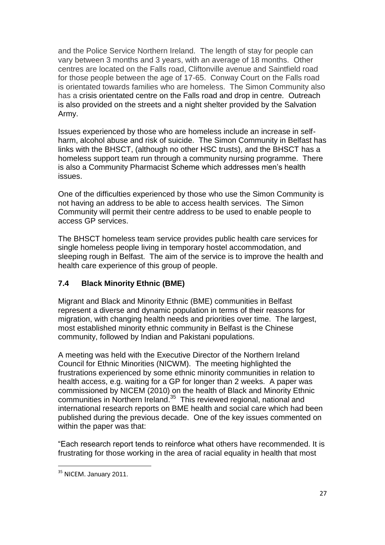and the Police Service Northern Ireland. The length of stay for people can vary between 3 months and 3 years, with an average of 18 months. Other centres are located on the Falls road, Cliftonville avenue and Saintfield road for those people between the age of 17-65. Conway Court on the Falls road is orientated towards families who are homeless. The Simon Community also has a crisis orientated centre on the Falls road and drop in centre. Outreach is also provided on the streets and a night shelter provided by the Salvation Army.

Issues experienced by those who are homeless include an increase in selfharm, alcohol abuse and risk of suicide. The Simon Community in Belfast has links with the BHSCT, (although no other HSC trusts), and the BHSCT has a homeless support team run through a community nursing programme. There is also a Community Pharmacist Scheme which addresses men's health issues.

One of the difficulties experienced by those who use the Simon Community is not having an address to be able to access health services. The Simon Community will permit their centre address to be used to enable people to access GP services.

The BHSCT homeless team service provides public health care services for single homeless people living in temporary hostel accommodation, and sleeping rough in Belfast. The aim of the service is to improve the health and health care experience of this group of people.

# **7.4 Black Minority Ethnic (BME)**

Migrant and Black and Minority Ethnic (BME) communities in Belfast represent a diverse and dynamic population in terms of their reasons for migration, with changing health needs and priorities over time. The largest, most established minority ethnic community in Belfast is the Chinese community, followed by Indian and Pakistani populations.

A meeting was held with the Executive Director of the Northern Ireland Council for Ethnic Minorities (NICWM). The meeting highlighted the frustrations experienced by some ethnic minority communities in relation to health access, e.g. waiting for a GP for longer than 2 weeks. A paper was commissioned by NICEM (2010) on the health of Black and Minority Ethnic communities in Northern Ireland.<sup>35</sup> This reviewed regional, national and international research reports on BME health and social care which had been published during the previous decade. One of the key issues commented on within the paper was that:

"Each research report tends to reinforce what others have recommended. It is frustrating for those working in the area of racial equality in health that most

 $\overline{a}$ <sup>35</sup> NICEM. January 2011.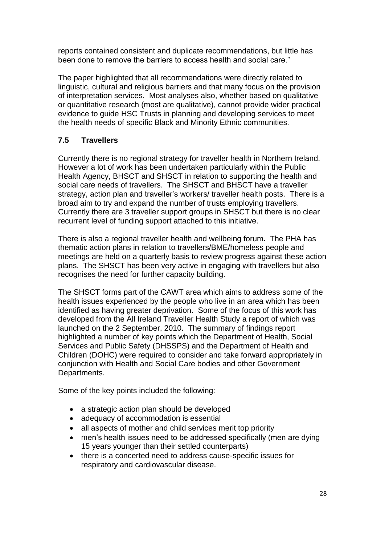reports contained consistent and duplicate recommendations, but little has been done to remove the barriers to access health and social care."

The paper highlighted that all recommendations were directly related to linguistic, cultural and religious barriers and that many focus on the provision of interpretation services. Most analyses also, whether based on qualitative or quantitative research (most are qualitative), cannot provide wider practical evidence to guide HSC Trusts in planning and developing services to meet the health needs of specific Black and Minority Ethnic communities.

# **7.5 Travellers**

Currently there is no regional strategy for traveller health in Northern Ireland. However a lot of work has been undertaken particularly within the Public Health Agency, BHSCT and SHSCT in relation to supporting the health and social care needs of travellers. The SHSCT and BHSCT have a traveller strategy, action plan and traveller's workers/ traveller health posts. There is a broad aim to try and expand the number of trusts employing travellers. Currently there are 3 traveller support groups in SHSCT but there is no clear recurrent level of funding support attached to this initiative.

There is also a regional traveller health and wellbeing forum**.** The PHA has thematic action plans in relation to travellers/BME/homeless people and meetings are held on a quarterly basis to review progress against these action plans. The SHSCT has been very active in engaging with travellers but also recognises the need for further capacity building.

The SHSCT forms part of the CAWT area which aims to address some of the health issues experienced by the people who live in an area which has been identified as having greater deprivation. Some of the focus of this work has developed from the All Ireland Traveller Health Study a report of which was launched on the 2 September, 2010. The summary of findings report highlighted a number of key points which the Department of Health, Social Services and Public Safety (DHSSPS) and the Department of Health and Children (DOHC) were required to consider and take forward appropriately in conjunction with Health and Social Care bodies and other Government Departments.

Some of the key points included the following:

- a strategic action plan should be developed
- adequacy of accommodation is essential
- all aspects of mother and child services merit top priority
- men's health issues need to be addressed specifically (men are dying 15 years younger than their settled counterparts)
- there is a concerted need to address cause-specific issues for respiratory and cardiovascular disease.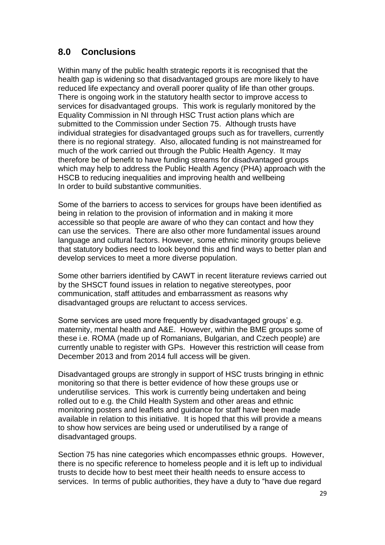# **8.0 Conclusions**

Within many of the public health strategic reports it is recognised that the health gap is widening so that disadvantaged groups are more likely to have reduced life expectancy and overall poorer quality of life than other groups. There is ongoing work in the statutory health sector to improve access to services for disadvantaged groups. This work is regularly monitored by the Equality Commission in NI through HSC Trust action plans which are submitted to the Commission under Section 75. Although trusts have individual strategies for disadvantaged groups such as for travellers, currently there is no regional strategy. Also, allocated funding is not mainstreamed for much of the work carried out through the Public Health Agency. It may therefore be of benefit to have funding streams for disadvantaged groups which may help to address the Public Health Agency (PHA) approach with the HSCB to reducing inequalities and improving health and wellbeing In order to build substantive communities.

Some of the barriers to access to services for groups have been identified as being in relation to the provision of information and in making it more accessible so that people are aware of who they can contact and how they can use the services. There are also other more fundamental issues around language and cultural factors. However, some ethnic minority groups believe that statutory bodies need to look beyond this and find ways to better plan and develop services to meet a more diverse population.

Some other barriers identified by CAWT in recent literature reviews carried out by the SHSCT found issues in relation to negative stereotypes, poor communication, staff attitudes and embarrassment as reasons why disadvantaged groups are reluctant to access services.

Some services are used more frequently by disadvantaged groups' e.g. maternity, mental health and A&E. However, within the BME groups some of these i.e. ROMA (made up of Romanians, Bulgarian, and Czech people) are currently unable to register with GPs. However this restriction will cease from December 2013 and from 2014 full access will be given.

Disadvantaged groups are strongly in support of HSC trusts bringing in ethnic monitoring so that there is better evidence of how these groups use or underutilise services. This work is currently being undertaken and being rolled out to e.g. the Child Health System and other areas and ethnic monitoring posters and leaflets and guidance for staff have been made available in relation to this initiative. It is hoped that this will provide a means to show how services are being used or underutilised by a range of disadvantaged groups.

Section 75 has nine categories which encompasses ethnic groups. However, there is no specific reference to homeless people and it is left up to individual trusts to decide how to best meet their health needs to ensure access to services. In terms of public authorities, they have a duty to "have due regard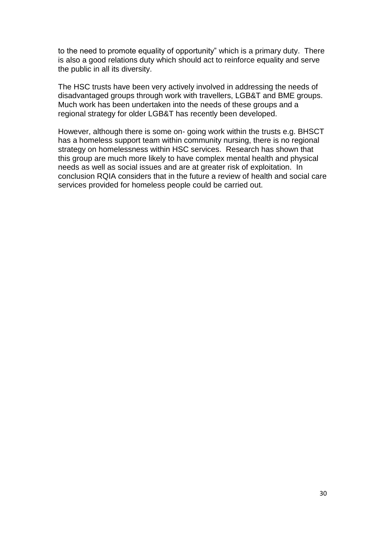to the need to promote equality of opportunity" which is a primary duty. There is also a good relations duty which should act to reinforce equality and serve the public in all its diversity.

The HSC trusts have been very actively involved in addressing the needs of disadvantaged groups through work with travellers, LGB&T and BME groups. Much work has been undertaken into the needs of these groups and a regional strategy for older LGB&T has recently been developed.

However, although there is some on- going work within the trusts e.g. BHSCT has a homeless support team within community nursing, there is no regional strategy on homelessness within HSC services. Research has shown that this group are much more likely to have complex mental health and physical needs as well as social issues and are at greater risk of exploitation. In conclusion RQIA considers that in the future a review of health and social care services provided for homeless people could be carried out.